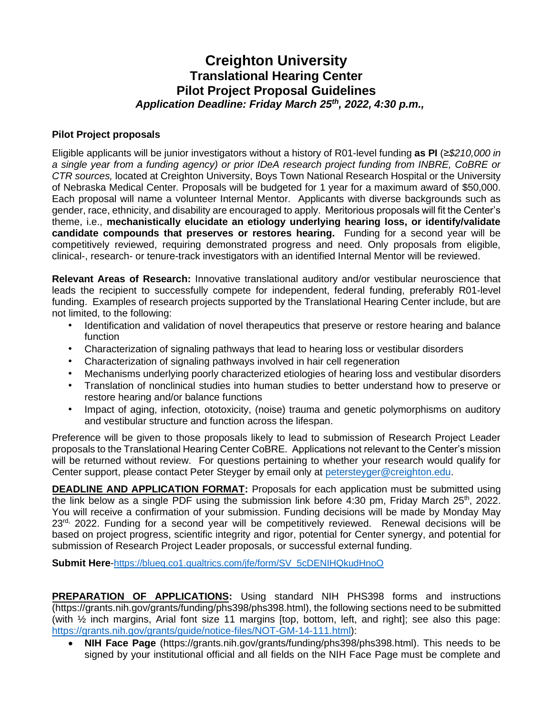# **Creighton University Translational Hearing Center Pilot Project Proposal Guidelines** *Application Deadline: Friday March 25 th , 2022, 4:30 p.m.,*

#### **Pilot Project proposals**

Eligible applicants will be junior investigators without a history of R01-level funding **as PI** (*≥\$210,000 in a single year from a funding agency) or prior IDeA research project funding from INBRE, CoBRE or CTR sources,* located at Creighton University, Boys Town National Research Hospital or the University of Nebraska Medical Center*.* Proposals will be budgeted for 1 year for a maximum award of \$50,000. Each proposal will name a volunteer Internal Mentor. Applicants with diverse backgrounds such as gender, race, ethnicity, and disability are encouraged to apply. Meritorious proposals will fit the Center's theme, i.e., **mechanistically elucidate an etiology underlying hearing loss, or identify/validate candidate compounds that preserves or restores hearing.** Funding for a second year will be competitively reviewed, requiring demonstrated progress and need. Only proposals from eligible, clinical-, research- or tenure-track investigators with an identified Internal Mentor will be reviewed.

**Relevant Areas of Research:** Innovative translational auditory and/or vestibular neuroscience that leads the recipient to successfully compete for independent, federal funding, preferably R01-level funding. Examples of research projects supported by the Translational Hearing Center include, but are not limited, to the following:

- Identification and validation of novel therapeutics that preserve or restore hearing and balance function
- Characterization of signaling pathways that lead to hearing loss or vestibular disorders
- Characterization of signaling pathways involved in hair cell regeneration
- Mechanisms underlying poorly characterized etiologies of hearing loss and vestibular disorders
- Translation of nonclinical studies into human studies to better understand how to preserve or restore hearing and/or balance functions
- Impact of aging, infection, ototoxicity, (noise) trauma and genetic polymorphisms on auditory and vestibular structure and function across the lifespan.

Preference will be given to those proposals likely to lead to submission of Research Project Leader proposals to the Translational Hearing Center CoBRE. Applications not relevant to the Center's mission will be returned without review. For questions pertaining to whether your research would qualify for Center support, please contact Peter Steyger by email only at [petersteyger@creighton.edu.](about:blank)

**DEADLINE AND APPLICATION FORMAT:** Proposals for each application must be submitted using the link below as a single PDF using the submission link before  $4:30$  pm, Friday March  $25<sup>th</sup>$ , 2022. You will receive a confirmation of your submission. Funding decisions will be made by Monday May 23<sup>rd,</sup> 2022. Funding for a second year will be competitively reviewed. Renewal decisions will be based on project progress, scientific integrity and rigor, potential for Center synergy, and potential for submission of Research Project Leader proposals, or successful external funding.

**Submit Here**-[https://blueq.co1.qualtrics.com/jfe/form/SV\\_5cDENIHQkudHnoO](https://blueq.co1.qualtrics.com/jfe/form/SV_5cDENIHQkudHnoO)

**PREPARATION OF APPLICATIONS:** Using standard NIH PHS398 forms and instructions (https://grants.nih.gov/grants/funding/phs398/phs398.html), the following sections need to be submitted (with ½ inch margins, Arial font size 11 margins [top, bottom, left, and right]; see also this page: [https://grants.nih.gov/grants/guide/notice-files/NOT-GM-14-111.html\)](https://grants.nih.gov/grants/guide/notice-files/NOT-GM-14-111.html):

• **NIH Face Page** (https://grants.nih.gov/grants/funding/phs398/phs398.html). This needs to be signed by your institutional official and all fields on the NIH Face Page must be complete and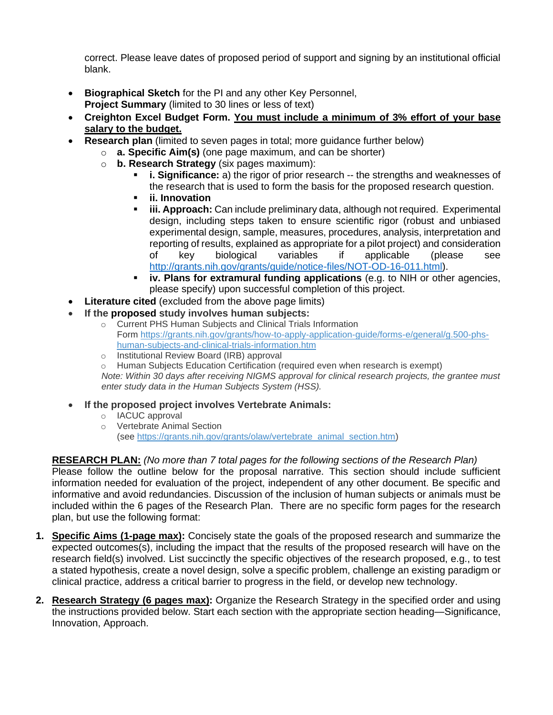correct. Please leave dates of proposed period of support and signing by an institutional official blank.

- **Biographical Sketch** for the PI and any other Key Personnel, **Project Summary** (limited to 30 lines or less of text)
- **Creighton Excel Budget Form. You must include a minimum of 3% effort of your base salary to the budget.**
- **Research plan** (limited to seven pages in total; more guidance further below)
	- o **a. Specific Aim(s)** (one page maximum, and can be shorter)
	- o **b. Research Strategy** (six pages maximum):
		- **i. Significance:** a) the rigor of prior research -- the strengths and weaknesses of the research that is used to form the basis for the proposed research question.
		- **ii. Innovation**
		- **iii. Approach:** Can include preliminary data, although not required. Experimental design, including steps taken to ensure scientific rigor (robust and unbiased experimental design, sample, measures, procedures, analysis, interpretation and reporting of results, explained as appropriate for a pilot project) and consideration of key biological variables if applicable (please see [http://grants.nih.gov/grants/guide/notice-files/NOT-OD-16-011.html\)](http://grants.nih.gov/grants/guide/notice-files/NOT-OD-16-011.html).
		- **iv. Plans for extramural funding applications** (e.g. to NIH or other agencies, please specify) upon successful completion of this project.
- **Literature cited** (excluded from the above page limits)
- **If the proposed study involves human subjects:**
	- o Current PHS Human Subjects and Clinical Trials Information Form [https://grants.nih.gov/grants/how-to-apply-application-guide/forms-e/general/g.500-phs](about:blank)[human-subjects-and-clinical-trials-information.htm](about:blank)
	- o Institutional Review Board (IRB) approval
	- $\circ$  Human Subjects Education Certification (required even when research is exempt) *Note: Within 30 days after receiving NIGMS approval for clinical research projects, the grantee must enter study data in the Human Subjects System (HSS).*
- **If the proposed project involves Vertebrate Animals:**
	- o IACUC approval
	- o Vertebrate Animal Section (see [https://grants.nih.gov/grants/olaw/vertebrate\\_animal\\_section.htm\)](about:blank)

### **RESEARCH PLAN:** *(No more than 7 total pages for the following sections of the Research Plan)*

Please follow the outline below for the proposal narrative. This section should include sufficient information needed for evaluation of the project, independent of any other document. Be specific and informative and avoid redundancies. Discussion of the inclusion of human subjects or animals must be included within the 6 pages of the Research Plan. There are no specific form pages for the research plan, but use the following format:

- **1. Specific Aims (1-page max):** Concisely state the goals of the proposed research and summarize the expected outcomes(s), including the impact that the results of the proposed research will have on the research field(s) involved. List succinctly the specific objectives of the research proposed, e.g., to test a stated hypothesis, create a novel design, solve a specific problem, challenge an existing paradigm or clinical practice, address a critical barrier to progress in the field, or develop new technology.
- **2. Research Strategy (6 pages max):** Organize the Research Strategy in the specified order and using the instructions provided below. Start each section with the appropriate section heading—Significance, Innovation, Approach.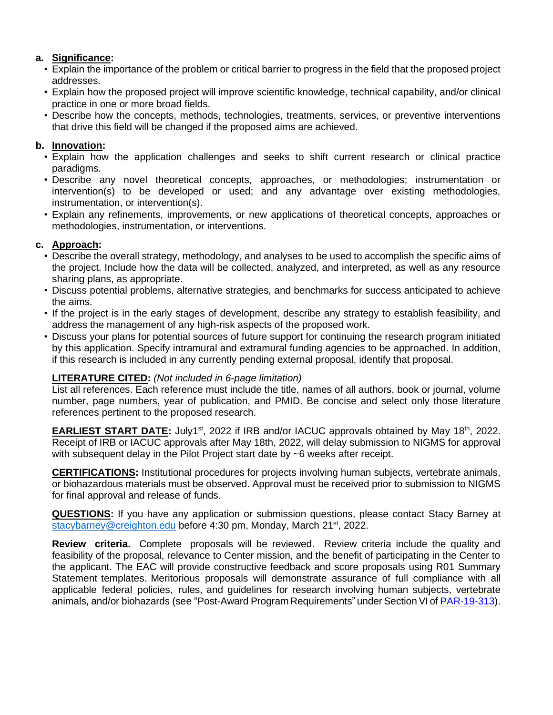### **a. Significance:**

- Explain the importance of the problem or critical barrier to progress in the field that the proposed project addresses.
- Explain how the proposed project will improve scientific knowledge, technical capability, and/or clinical practice in one or more broad fields.
- Describe how the concepts, methods, technologies, treatments, services, or preventive interventions that drive this field will be changed if the proposed aims are achieved.

### **b. Innovation:**

- Explain how the application challenges and seeks to shift current research or clinical practice paradigms.
- Describe any novel theoretical concepts, approaches, or methodologies; instrumentation or intervention(s) to be developed or used; and any advantage over existing methodologies, instrumentation, or intervention(s).
- Explain any refinements, improvements, or new applications of theoretical concepts, approaches or methodologies, instrumentation, or interventions.

# **c. Approach:**

- Describe the overall strategy, methodology, and analyses to be used to accomplish the specific aims of the project. Include how the data will be collected, analyzed, and interpreted, as well as any resource sharing plans, as appropriate.
- Discuss potential problems, alternative strategies, and benchmarks for success anticipated to achieve the aims.
- If the project is in the early stages of development, describe any strategy to establish feasibility, and address the management of any high-risk aspects of the proposed work.
- Discuss your plans for potential sources of future support for continuing the research program initiated by this application. Specify intramural and extramural funding agencies to be approached. In addition, if this research is included in any currently pending external proposal, identify that proposal.

# **LITERATURE CITED:** *(Not included in 6-page limitation)*

List all references. Each reference must include the title, names of all authors, book or journal, volume number, page numbers, year of publication, and PMID. Be concise and select only those literature references pertinent to the proposed research.

**EARLIEST START DATE:** July1<sup>st</sup>, 2022 if IRB and/or IACUC approvals obtained by May 18<sup>th</sup>, 2022. Receipt of IRB or IACUC approvals after May 18th, 2022, will delay submission to NIGMS for approval with subsequent delay in the Pilot Project start date by ~6 weeks after receipt.

**CERTIFICATIONS:** Institutional procedures for projects involving human subjects, vertebrate animals, or biohazardous materials must be observed. Approval must be received prior to submission to NIGMS for final approval and release of funds.

**QUESTIONS:** If you have any application or submission questions, please contact Stacy Barney at [stacybarney@creighton.edu](mailto:stacybarney@creighton.edu) before 4:30 pm, Monday, March 21<sup>st</sup>, 2022.

**Review criteria.** Complete proposals will be reviewed. Review criteria include the quality and feasibility of the proposal, relevance to Center mission, and the benefit of participating in the Center to the applicant. The EAC will provide constructive feedback and score proposals using R01 Summary Statement templates. Meritorious proposals will demonstrate assurance of full compliance with all applicable federal policies, rules, and guidelines for research involving human subjects, vertebrate animals, and/or biohazards (see "Post-Award Program Requirements" under Section VI o[f PAR-19-313\)](about:blank#_Section_VI._Award).